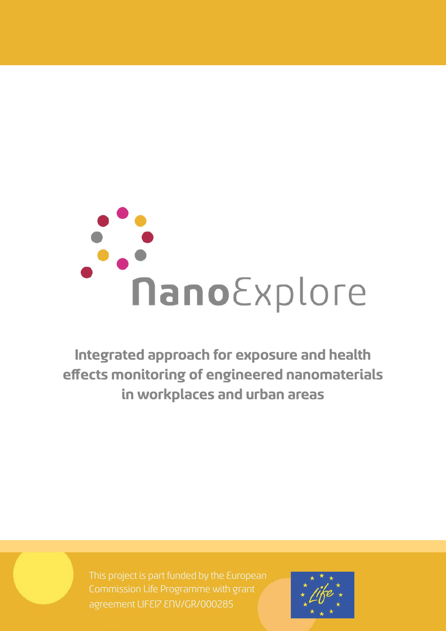# nanoExplore

**Integrated approach for exposure and health effects monitoring of engineered nanomaterials in workplaces and urban areas**

Commission Life Programme with grant agreement LIFE17 ENV/GR/000285

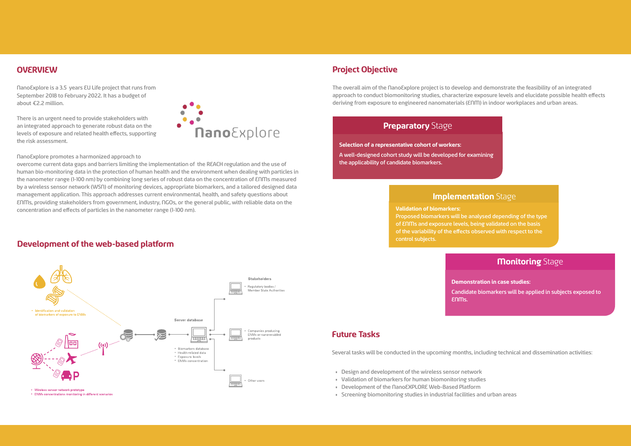## **Project Objective**

The overall aim of the NanoExplore project is to develop and demonstrate the feasibility of an integrated approach to conduct biomonitoring studies, characterize exposure levels and elucidate possible health effects deriving from exposure to engineered nanomaterials (ENM) in indoor workplaces and urban areas.

### **Preparatory Stage**

# **Implementation** Stage

### **Monitoring** Stage

**Selection of a representative cohort of workers:** A well-designed cohort study will be developed for examining

the applicability of candidate biomarkers.

**Validation of biomarkers:**  Proposed biomarkers will be analysed depending of the type of ENMs and exposure levels, being validated on the basis of the variability of the effects observed with respect to the control subjects.

**Demonstration in case studies:** 

Candidate biomarkers will be applied in subjects exposed to

- 
- 

ENMs.

#### **OVERVIEW**

NanoExplore is a 3.5 years EU Life project that runs from September 2018 to February 2022. It has a budget of about €2.2 million.

There is an urgent need to provide stakeholders with an integrated approach to generate robust data on the levels of exposure and related health effects, supporting the risk assessment.

NanoExplore promotes a harmonized approach to

overcome current data gaps and barriers limiting the implementation of the REACH regulation and the use of human bio-monitoring data in the protection of human health and the environment when dealing with particles in the nanometer range (1-100 nm) by combining long series of robust data on the concentration of ENMs measured by a wireless sensor network (WSN) of monitoring devices, appropriate biomarkers, and a tailored designed data management application. This approach addresses current environmental, health, and safety questions about ENMs, providing stakeholders from government, industry, NGOs, or the general public, with reliable data on the concentration and effects of particles in the nanometer range (1-100 nm).

#### **Future Tasks**

Several tasks will be conducted in the upcoming months, including technical and dissemination activities:

- Design and development of the wireless sensor network
- Validation of biomarkers for human biomonitoring studies
- Development of the NanoEXPLORE Web-Based Platform
- Screening biomonitoring studies in industrial facilities and urban areas

# $\bullet$ **Nano** Explore



#### **Development of the web-based platform**